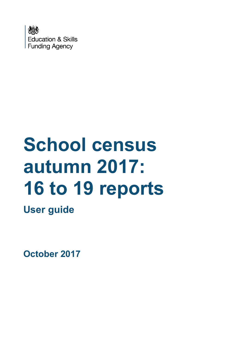

# **School census autumn 2017: 16 to 19 reports**

**User guide**

**October 2017**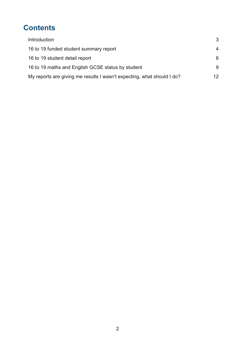# **Contents**

| Introduction                                                           | 3              |
|------------------------------------------------------------------------|----------------|
| 16 to 19 funded student summary report                                 | $\overline{4}$ |
| 16 to 19 student detail report                                         | 6              |
| 16 to 19 maths and English GCSE status by student                      | 9              |
| My reports are giving me results I wasn't expecting, what should I do? | 12             |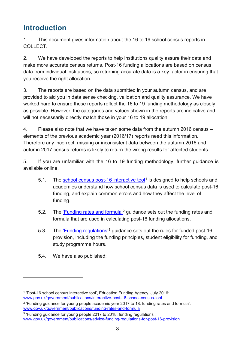## <span id="page-2-0"></span>**Introduction**

1. This document gives information about the 16 to 19 school census reports in COLLECT.

2. We have developed the reports to help institutions quality assure their data and make more accurate census returns. Post-16 funding allocations are based on census data from individual institutions, so returning accurate data is a key factor in ensuring that you receive the right allocation.

3. The reports are based on the data submitted in your autumn census, and are provided to aid you in data sense checking, validation and quality assurance. We have worked hard to ensure these reports reflect the 16 to 19 funding methodology as closely as possible. However, the categories and values shown in the reports are indicative and will not necessarily directly match those in your 16 to 19 allocation.

4. Please also note that we have taken some data from the autumn 2016 census – elements of the previous academic year (2016/17) reports need this information. Therefore any incorrect, missing or inconsistent data between the autumn 2016 and autumn 2017 census returns is likely to return the wrong results for affected students.

5. If you are unfamiliar with the 16 to 19 funding methodology, further guidance is available online.

- 5.1. The [school census post-16 interactive tool](https://www.gov.uk/government/publications/interactive-post-16-school-census-tool)<sup>[1](#page-2-1)</sup> is designed to help schools and academies understand how school census data is used to calculate post-16 funding, and explain common errors and how they affect the level of funding.
- 5.2. The ['Funding rates and formula'](https://www.gov.uk/government/publications/funding-rates-and-formula)[2](#page-2-2) guidance sets out the funding rates and formula that are used in calculating post-16 funding allocations.
- 5.3. The ['Funding regulations'](https://www.gov.uk/government/publications/advice-funding-regulations-for-post-16-provision)[3](#page-2-3) guidance sets out the rules for funded post-16 provision, including the funding principles, student eligibility for funding, and study programme hours.
- 5.4. We have also published:

<span id="page-2-1"></span><sup>&</sup>lt;sup>1</sup> 'Post-16 school census interactive tool', Education Funding Agency, July 2016: [www.gov.uk/government/publications/interactive-post-16-school-census-tool](https://www.gov.uk/government/publications/interactive-post-16-school-census-tool)

<span id="page-2-2"></span> $2$  'Funding guidance for young people academic year 2017 to 18: funding rates and formula': [www.gov.uk/government/publications/funding-rates-and-formula](https://www.gov.uk/government/publications/funding-rates-and-formula)

<span id="page-2-3"></span><sup>3</sup> 'Funding guidance for young people 2017 to 2018: funding regulations': [www.gov.uk/government/publications/advice-funding-regulations-for-post-16-provision](https://www.gov.uk/government/publications/advice-funding-regulations-for-post-16-provision)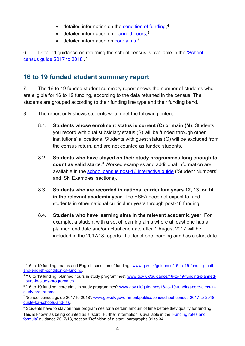- detailed information on the **condition of funding**,<sup>[4](#page-3-1)</sup>
- detailed information on **planned hours**,<sup>[5](#page-3-2)</sup>
- detailed information on **core aims**.<sup>[6](#page-3-3)</sup>

6. Detailed guidance on returning the school census is available in the ['School](https://www.gov.uk/government/publications/school-census-2017-to-2018-guide-for-schools-and-las)  [census guide 2017 to 2018'.](https://www.gov.uk/government/publications/school-census-2017-to-2018-guide-for-schools-and-las) [7](#page-3-4)

#### <span id="page-3-0"></span>**16 to 19 funded student summary report**

 $\overline{a}$ 

7. The 16 to 19 funded student summary report shows the number of students who are eligible for 16 to 19 funding, according to the data returned in the census. The students are grouped according to their funding line type and their funding band.

- 8. The report only shows students who meet the following criteria.
	- 8.1. **Students whose enrolment status is current (C) or main (M)**. Students you record with dual subsidiary status (S) will be funded through other institutions' allocations. Students with guest status (G) will be excluded from the census return, and are not counted as funded students.
	- 8.2. **Students who have stayed on their study programmes long enough to count as valid starts**. [8](#page-3-5) Worked examples and additional information are available in the [school census post-16 interactive guide](https://www.gov.uk/government/publications/interactive-post-16-school-census-tool) ('Student Numbers' and 'SN Examples' sections).
	- 8.3. **Students who are recorded in national curriculum years 12, 13, or 14 in the relevant academic year**. The ESFA does not expect to fund students in other national curriculum years through post-16 funding.
	- 8.4. **Students who have learning aims in the relevant academic year**. For example, a student with a set of learning aims where at least one has a planned end date and/or actual end date after 1 August 2017 will be included in the 2017/18 reports. If at least one learning aim has a start date

<span id="page-3-1"></span><sup>4</sup> '16 to 19 funding: maths and English condition of funding': [www.gov.uk/guidance/16-to-19-funding-maths](https://www.gov.uk/guidance/16-to-19-funding-maths-and-english-condition-of-funding)[and-english-condition-of-funding.](https://www.gov.uk/guidance/16-to-19-funding-maths-and-english-condition-of-funding)

<span id="page-3-2"></span><sup>5</sup> '16 to 19 funding: planned hours in study programmes': [www.gov.uk/guidance/16-to-19-funding-planned](https://www.gov.uk/guidance/16-to-19-funding-planned-hours-in-study-programmes)[hours-in-study-programmes.](https://www.gov.uk/guidance/16-to-19-funding-planned-hours-in-study-programmes)

<span id="page-3-3"></span><sup>&</sup>lt;sup>6</sup> '16 to 19 funding: core aims in study programmes': www.gov.uk/quidance/16-to-19-funding-core-aims-in[study-programmes.](https://www.gov.uk/guidance/16-to-19-funding-core-aims-in-study-programmes)

<span id="page-3-4"></span><sup>7</sup> 'School census guide 2017 to 2018': [www.gov.uk/government/publications/school-census-2017-to-2018](https://www.gov.uk/government/publications/school-census-2017-to-2018-guide-for-schools-and-las) [guide-for-schools-and-las.](https://www.gov.uk/government/publications/school-census-2017-to-2018-guide-for-schools-and-las)

<span id="page-3-5"></span><sup>&</sup>lt;sup>8</sup> Students have to stay on their programmes for a certain amount of time before they qualify for funding. This is known as being counted as a 'start'. Further information is available in the ['Funding rates and](https://www.gov.uk/government/publications/funding-rates-and-formula)  [formula'](https://www.gov.uk/government/publications/funding-rates-and-formula) guidance 2017/18, section 'Definition of a start', paragraphs 31 to 34.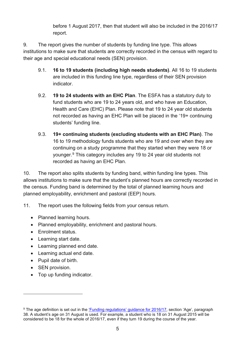before 1 August 2017, then that student will also be included in the 2016/17 report.

9. The report gives the number of students by funding line type. This allows institutions to make sure that students are correctly recorded in the census with regard to their age and special educational needs (SEN) provision.

- 9.1. **16 to 19 students (including high needs students)**. All 16 to 19 students are included in this funding line type, regardless of their SEN provision indicator.
- 9.2. **19 to 24 students with an EHC Plan**. The ESFA has a statutory duty to fund students who are 19 to 24 years old, and who have an Education, Health and Care (EHC) Plan. Please note that 19 to 24 year old students not recorded as having an EHC Plan will be placed in the '19+ continuing students' funding line.
- 9.3. **19+ continuing students (excluding students with an EHC Plan)**. The 16 to 19 methodology funds students who are 19 and over when they are continuing on a study programme that they started when they were 18 or younger.[9](#page-4-0) This category includes any 19 to 24 year old students not recorded as having an EHC Plan.

10. The report also splits students by funding band, within funding line types. This allows institutions to make sure that the student's planned hours are correctly recorded in the census. Funding band is determined by the total of planned learning hours and planned employability, enrichment and pastoral (EEP) hours.

11. The report uses the following fields from your census return.

- Planned learning hours.
- Planned employability, enrichment and pastoral hours.
- Enrolment status.
- Learning start date.
- Learning planned end date.
- Learning actual end date.
- Pupil date of birth.
- SEN provision.

 $\overline{a}$ 

• Top up funding indicator.

<span id="page-4-0"></span><sup>&</sup>lt;sup>9</sup> The age definition is set out in the ['Funding regulations' guidance for 2016/17,](https://www.gov.uk/government/publications/advice-funding-regulations-for-post-16-provision) section 'Age', paragraph 38. A student's age on 31 August is used. For example, a student who is 18 on 31 August 2015 will be considered to be 18 for the whole of 2016/17, even if they turn 19 during the course of the year.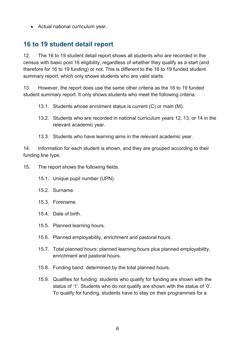• Actual national curriculum year.

### <span id="page-5-0"></span>**16 to 19 student detail report**

12. The 16 to 19 student detail report shows all students who are recorded in the census with basic post 16 eligibility, regardless of whether they qualify as a start (and therefore for 16 to 19 funding) or not. This is different to the 16 to 19 funded student summary report, which only shows students who are valid starts.

13. However, the report does use the same other criteria as the 16 to 19 funded student summary report. It only shows students who meet the following criteria.

- 13.1. Students whose enrolment status is current (C) or main (M).
- 13.2. Students who are recorded in national curriculum years 12, 13, or 14 in the relevant academic year.
- 13.3. Students who have learning aims in the relevant academic year.

14. Information for each student is shown, and they are grouped according to their funding line type.

15. The report shows the following fields.

- 15.1. Unique pupil number (UPN).
- 15.2. Surname.
- 15.3. Forename.
- 15.4. Date of birth.
- 15.5. Planned learning hours.
- 15.6. Planned employability, enrichment and pastoral hours.
- 15.7. Total planned hours: planned learning hours plus planned employability, enrichment and pastoral hours.
- 15.8. Funding band: determined by the total planned hours.
- 15.9. Qualifies for funding: students who qualify for funding are shown with the status of '1'. Students who do not qualify are shown with the status of '0'. To qualify for funding, students have to stay on their programmes for a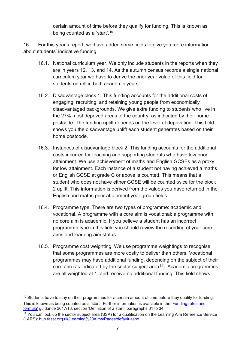certain amount of time before they qualify for funding. This is known as being counted as a 'start'.[10](#page-6-0)

16. For this year's report, we have added some fields to give you more information about students' indicative funding.

- 16.1. National curriculum year. We only include students in the reports when they are in years 12, 13, and 14. As the autumn census records a single national curriculum year we have to derive the prior year value of this field for students on roll in both academic years.
- 16.2. Disadvantage block 1. This funding accounts for the additional costs of engaging, recruiting, and retaining young people from economically disadvantaged backgrounds. We give extra funding to students who live in the 27% most deprived areas of the country, as indicated by their home postcode. The funding uplift depends on the level of deprivation. This field shows you the disadvantage uplift each student generates based on their home postcode.
- 16.3. Instances of disadvantage block 2. This funding accounts for the additional costs incurred for teaching and supporting students who have low prior attainment. We use achievement of maths and English GCSEs as a proxy for low attainment. Each instance of a student not having achieved a maths or English GCSE at grade C or above is counted. This means that a student who does not have either GCSE will be counted twice for the block 2 uplift. This information is derived from the values you have returned in the English and maths prior attainment year group fields.
- 16.4. Programme type. There are two types of programme: academic and vocational. A programme with a core aim is vocational; a programme with no core aim is academic. If you believe a student has an incorrect programme type in this field you should review the recording of your core aims and learning aim status.
- 16.5. Programme cost weighting. We use programme weightings to recognise that some programmes are more costly to deliver than others. Vocational programmes may have additional funding, depending on the subject of their core aim (as indicated by the sector subject area<sup>[11](#page-6-1)</sup>). Academic programmes are all weighted at 1, and receive no additional funding. This field shows

<span id="page-6-0"></span><sup>&</sup>lt;sup>10</sup> Students have to stay on their programmes for a certain amount of time before they qualify for funding. This is known as being counted as a 'start'. Further information is available in the ['Funding rates and](https://www.gov.uk/government/publications/funding-rates-and-formula)  [formula'](https://www.gov.uk/government/publications/funding-rates-and-formula) guidance 2017/18, section 'Definition of a start', paragraphs 31 to 34.

<span id="page-6-1"></span><sup>11</sup> You can look up the sector subject area (SSA) for a qualification on the Learning Aim Reference Service (LARS): [hub.fasst.org.uk/Learning%20Aims/Pages/default.aspx.](https://hub.fasst.org.uk/Learning%20Aims/Pages/default.aspx)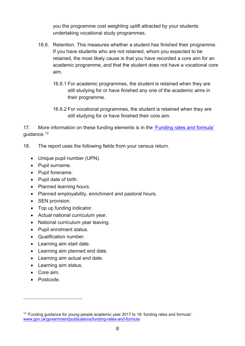you the programme cost weighting uplift attracted by your students undertaking vocational study programmes.

- 16.6. Retention. This measures whether a student has finished their programme. If you have students who are not retained, whom you expected to be retained, the most likely cause is that you have recorded a core aim for an academic programme, and that the student does not have a vocational core aim.
	- 16.6.1 For academic programmes, the student is retained when they are still studying for or have finished any one of the academic aims in their programme.
	- 16.6.2 For vocational programmes, the student is retained when they are still studying for or have finished their core aim.

17. More information on these funding elements is in the *Funding rates and formula'* guidance.[12](#page-7-0)

- 18. The report uses the following fields from your census return.
	- Unique pupil number (UPN).
	- Pupil surname.
	- Pupil forename.
	- Pupil date of birth.
	- Planned learning hours.
	- Planned employability, enrichment and pastoral hours.
	- SEN provision.
	- Top up funding indicator.
	- Actual national curriculum year.
	- National curriculum year leaving.
	- Pupil enrolment status.
	- Qualification number.
	- Learning aim start date.
	- Learning aim planned end date.
	- Learning aim actual end date.
	- Learning aim status.
	- Core aim.
	- Postcode.

<span id="page-7-0"></span><sup>&</sup>lt;sup>12</sup> 'Funding guidance for young people academic year 2017 to 18: funding rates and formula': [www.gov.uk/government/publications/funding-rates-and-formula](https://www.gov.uk/government/publications/funding-rates-and-formula)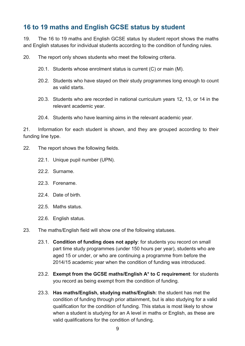## <span id="page-8-0"></span>**16 to 19 maths and English GCSE status by student**

19. The 16 to 19 maths and English GCSE status by student report shows the maths and English statuses for individual students according to the condition of funding rules.

20. The report only shows students who meet the following criteria.

- 20.1. Students whose enrolment status is current (C) or main (M).
- 20.2. Students who have stayed on their study programmes long enough to count as valid starts.
- 20.3. Students who are recorded in national curriculum years 12, 13, or 14 in the relevant academic year.
- 20.4. Students who have learning aims in the relevant academic year.

21. Information for each student is shown, and they are grouped according to their funding line type.

- 22. The report shows the following fields.
	- 22.1. Unique pupil number (UPN).
	- 22.2. Surname.
	- 22.3. Forename.
	- 22.4. Date of birth.
	- 22.5. Maths status.
	- 22.6. English status.
- 23. The maths/English field will show one of the following statuses.
	- 23.1. **Condition of funding does not apply**: for students you record on small part time study programmes (under 150 hours per year), students who are aged 15 or under, or who are continuing a programme from before the 2014/15 academic year when the condition of funding was introduced.
	- 23.2. **Exempt from the GCSE maths/English A\* to C requirement**: for students you record as being exempt from the condition of funding.
	- 23.3. **Has maths/English, studying maths/English**: the student has met the condition of funding through prior attainment, but is also studying for a valid qualification for the condition of funding. This status is most likely to show when a student is studying for an A level in maths or English, as these are valid qualifications for the condition of funding.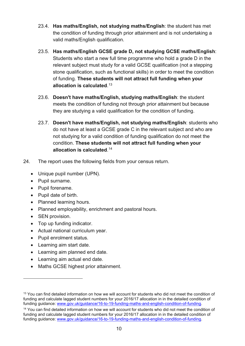- 23.4. **Has maths/English, not studying maths/English**: the student has met the condition of funding through prior attainment and is not undertaking a valid maths/English qualification.
- 23.5. **Has maths/English GCSE grade D, not studying GCSE maths/English**: Students who start a new full time programme who hold a grade D in the relevant subject must study for a valid GCSE qualification (not a stepping stone qualification, such as functional skills) in order to meet the condition of funding. **These students will not attract full funding when your allocation is calculated**. [13](#page-9-0)
- 23.6. **Doesn't have maths/English, studying maths/English**: the student meets the condition of funding not through prior attainment but because they are studying a valid qualification for the condition of funding.
- 23.7. **Doesn't have maths/English, not studying maths/English**: students who do not have at least a GCSE grade C in the relevant subject and who are not studying for a valid condition of funding qualification do not meet the condition. **These students will not attract full funding when your allocation is calculated**. [14](#page-9-1)
- 24. The report uses the following fields from your census return.
	- Unique pupil number (UPN).
	- Pupil surname.
	- Pupil forename.
	- Pupil date of birth.
	- Planned learning hours.
	- Planned employability, enrichment and pastoral hours.
	- SEN provision.

- Top up funding indicator.
- Actual national curriculum year.
- Pupil enrolment status.
- Learning aim start date.
- Learning aim planned end date.
- Learning aim actual end date.
- Maths GCSE highest prior attainment.

<span id="page-9-0"></span><sup>&</sup>lt;sup>13</sup> You can find detailed information on how we will account for students who did not meet the condition of funding and calculate lagged student numbers for your 2016/17 allocation in in the detailed condition of funding guidance: [www.gov.uk/guidance/16-to-19-funding-maths-and-english-condition-of-funding.](https://www.gov.uk/guidance/16-to-19-funding-maths-and-english-condition-of-funding)

<span id="page-9-1"></span><sup>&</sup>lt;sup>14</sup> You can find detailed information on how we will account for students who did not meet the condition of funding and calculate lagged student numbers for your 2016/17 allocation in in the detailed condition of funding guidance: [www.gov.uk/guidance/16-to-19-funding-maths-and-english-condition-of-funding.](https://www.gov.uk/guidance/16-to-19-funding-maths-and-english-condition-of-funding)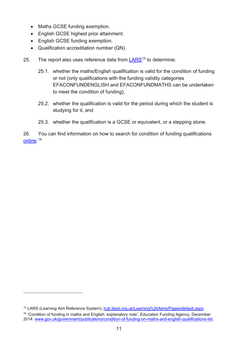- Maths GCSE funding exemption.
- English GCSE highest prior attainment.
- English GCSE funding exemption.

 $\overline{a}$ 

- Qualification accreditation number (QN).
- 25. The report also uses reference data from [LARS](https://hub.fasst.org.uk/Learning%20Aims/Pages/default.aspx)<sup>[15](#page-10-0)</sup> to determine:
	- 25.1. whether the maths/English qualification is valid for the condition of funding or not (only qualifications with the funding validity categories EFACONFUNDENGLISH and EFACONFUNDMATHS can be undertaken to meet the condition of funding),
	- 25.2. whether the qualification is valid for the period during which the student is studying for it, and
	- 25.3. whether the qualification is a GCSE or equivalent, or a stepping stone.

26. You can find information on how to search for condition of funding qualifications <u>online</u>. <sup>[16](#page-10-1)</sup>

<span id="page-10-1"></span><span id="page-10-0"></span><sup>&</sup>lt;sup>15</sup> LARS (Learning Aim Reference System), [hub.fasst.org.uk/Learning%20Aims/Pages/default.aspx.](https://hub.fasst.org.uk/Learning%20Aims/Pages/default.aspx) <sup>16</sup> 'Condition of funding in maths and English: explanatory note', Education Funding Agency, December 2014: [www.gov.uk/government/publications/condition-of-funding-on-maths-and-english-qualifications-list.](https://www.gov.uk/government/publications/condition-of-funding-on-maths-and-english-qualifications-list)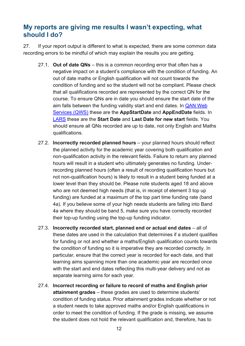### <span id="page-11-0"></span>**My reports are giving me results I wasn't expecting, what should I do?**

27. If your report output is different to what is expected, there are some common data recording errors to be mindful of which may explain the results you are getting.

- 27.1. **Out of date QNs** this is a common recording error that often has a negative impact on a student's compliance with the condition of funding. An out of date maths or English qualification will not count towards the condition of funding and so the student will not be compliant. Please check that all qualifications recorded are represented by the correct QN for the course. To ensure QNs are in date you should ensure the start date of the aim falls between the funding validity start and end dates. In [QAN Web](https://collectdata.education.gov.uk/qwsweb/(S(mdzfjbijwn3epz2i4uleir45))/default.aspx)  [Services \(QWS\)](https://collectdata.education.gov.uk/qwsweb/(S(mdzfjbijwn3epz2i4uleir45))/default.aspx) these are the **AppStartDate** and **AppEndDate** fields. In [LARS](https://hub.fasst.org.uk/Learning%20Aims/Pages/default.aspx) these are the **Start Date** and **Last Date for new start** fields. You should ensure all QNs recorded are up to date, not only English and Maths qualifications.
- 27.2. **Incorrectly recorded planned hours** your planned hours should reflect the planned activity for the academic year covering both qualification and non-qualification activity in the relevant fields. Failure to return any planned hours will result in a student who ultimately generates no funding. Underrecording planned hours (often a result of recording qualification hours but not non-qualification hours) is likely to result in a student being funded at a lower level than they should be. Please note students aged 18 and above who are not deemed high needs (that is, in receipt of element 3 top up funding) are funded at a maximum of the top part time funding rate (band 4a). If you believe some of your high needs students are falling into Band 4a where they should be band 5, make sure you have correctly recorded their top-up funding using the top-up funding indicator.
- 27.3. **Incorrectly recorded start, planned end or actual end dates** all of these dates are used in the calculation that determines if a student qualifies for funding or not and whether a maths/English qualification counts towards the condition of funding so it is imperative they are recorded correctly. In particular, ensure that the correct year is recorded for each date, and that learning aims spanning more than one academic year are recorded once with the start and end dates reflecting this multi-year delivery and not as separate learning aims for each year.
- 27.4. **Incorrect recording or failure to record of maths and English prior attainment grades** – these grades are used to determine students' condition of funding status. Prior attainment grades indicate whether or not a student needs to take approved maths and/or English qualifications in order to meet the condition of funding. If the grade is missing, we assume the student does not hold the relevant qualification and, therefore, has to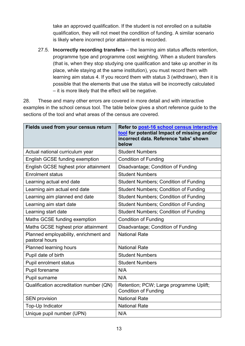take an approved qualification. If the student is not enrolled on a suitable qualification, they will not meet the condition of funding. A similar scenario is likely where incorrect prior attainment is recorded.

27.5. **Incorrectly recording transfers** – the learning aim status affects retention, programme type and programme cost weighting. When a student transfers (that is, when they stop studying one qualification and take up another in its place, while staying at the same institution), you must record them with learning aim status 4. If you record them with status 3 (withdrawn), then it is possible that the elements that use the status will be incorrectly calculated – it is more likely that the effect will be negative.

28. These and many other errors are covered in more detail and with interactive examples in the school census tool. The table below gives a short reference guide to the sections of the tool and what areas of the census are covered.

| Fields used from your census return                     | Refer to post-16 school census interactive<br>tool for potential Impact of missing and/or<br>incorrect data. Reference 'tabs' shown<br>below |
|---------------------------------------------------------|----------------------------------------------------------------------------------------------------------------------------------------------|
| Actual national curriculum year                         | <b>Student Numbers</b>                                                                                                                       |
| English GCSE funding exemption                          | <b>Condition of Funding</b>                                                                                                                  |
| English GCSE highest prior attainment                   | Disadvantage; Condition of Funding                                                                                                           |
| <b>Enrolment status</b>                                 | <b>Student Numbers</b>                                                                                                                       |
| Learning actual end date                                | <b>Student Numbers; Condition of Funding</b>                                                                                                 |
| Learning aim actual end date                            | <b>Student Numbers; Condition of Funding</b>                                                                                                 |
| Learning aim planned end date                           | <b>Student Numbers; Condition of Funding</b>                                                                                                 |
| Learning aim start date                                 | <b>Student Numbers; Condition of Funding</b>                                                                                                 |
| Learning start date                                     | <b>Student Numbers; Condition of Funding</b>                                                                                                 |
| Maths GCSE funding exemption                            | <b>Condition of Funding</b>                                                                                                                  |
| Maths GCSE highest prior attainment                     | Disadvantage; Condition of Funding                                                                                                           |
| Planned employability, enrichment and<br>pastoral hours | <b>National Rate</b>                                                                                                                         |
| <b>Planned learning hours</b>                           | <b>National Rate</b>                                                                                                                         |
| Pupil date of birth                                     | <b>Student Numbers</b>                                                                                                                       |
| <b>Pupil enrolment status</b>                           | <b>Student Numbers</b>                                                                                                                       |
| Pupil forename                                          | N/A                                                                                                                                          |
| Pupil surname                                           | N/A                                                                                                                                          |
| Qualification accreditation number (QN)                 | Retention; PCW; Large programme Uplift;<br><b>Condition of Funding</b>                                                                       |
| <b>SEN provision</b>                                    | <b>National Rate</b>                                                                                                                         |
| Top-Up Indicator                                        | <b>National Rate</b>                                                                                                                         |
| Unique pupil number (UPN)                               | N/A                                                                                                                                          |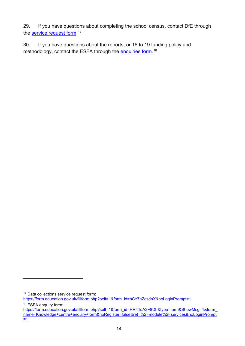29. If you have questions about completing the school census, contact DfE through the <u>service request form</u>.1<sup>7</sup>

30. If you have questions about the reports, or 16 to 19 funding policy and methodology, contact the ESFA through the <u>enquiries form</u>.<sup>[18](#page-13-1)</sup>

<span id="page-13-0"></span><sup>&</sup>lt;sup>17</sup> Data collections service request form:

[https://form.education.gov.uk/fillform.php?self=1&form\\_id=hGz7nZcsdnX&noLoginPrompt=1.](https://form.education.gov.uk/fillform.php?self=1&form_id=hGz7nZcsdnX&noLoginPrompt=1)

<span id="page-13-1"></span><sup>&</sup>lt;sup>18</sup> ESFA enquiry form:

[https://form.education.gov.uk/fillform.php?self=1&form\\_id=HR41uA2F8Dh&type=form&ShowMsg=1&form\\_](https://form.education.gov.uk/fillform.php?self=1&form_id=HR41uA2F8Dh&type=form&ShowMsg=1&form_name=Knowledge+centre+enquiry+form&noRegister=false&ret=%2Fmodule%2Fservices&noLoginPrompt=1) [name=Knowledge+centre+enquiry+form&noRegister=false&ret=%2Fmodule%2Fservices&noLoginPrompt](https://form.education.gov.uk/fillform.php?self=1&form_id=HR41uA2F8Dh&type=form&ShowMsg=1&form_name=Knowledge+centre+enquiry+form&noRegister=false&ret=%2Fmodule%2Fservices&noLoginPrompt=1) [=1](https://form.education.gov.uk/fillform.php?self=1&form_id=HR41uA2F8Dh&type=form&ShowMsg=1&form_name=Knowledge+centre+enquiry+form&noRegister=false&ret=%2Fmodule%2Fservices&noLoginPrompt=1)